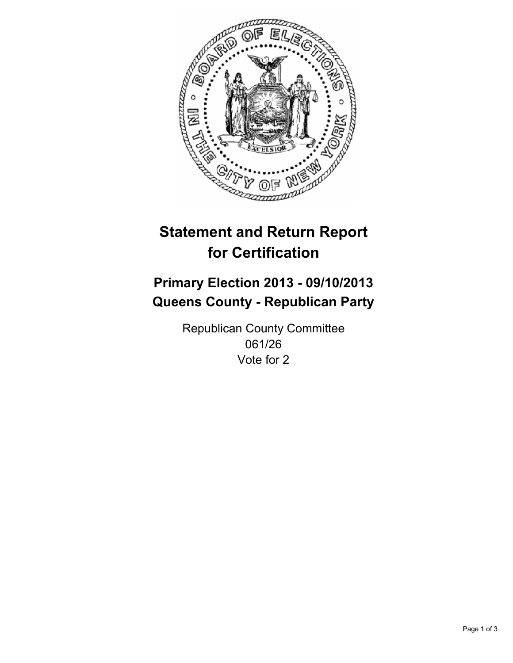

# **Statement and Return Report for Certification**

# **Primary Election 2013 - 09/10/2013 Queens County - Republican Party**

Republican County Committee 061/26 Vote for 2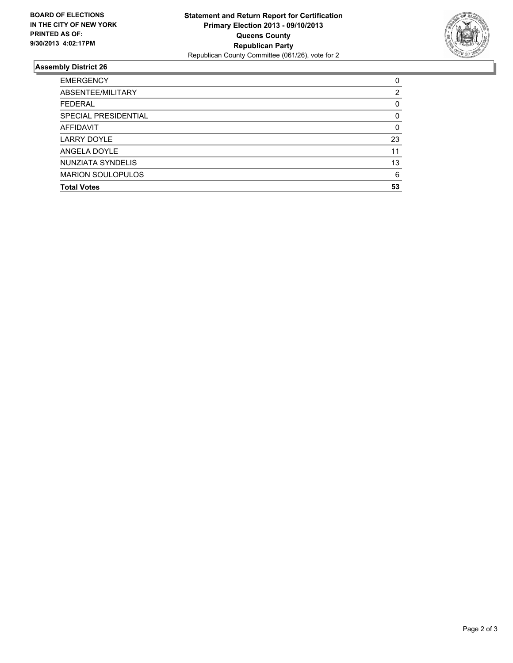

## **Assembly District 26**

| 0  |
|----|
| 2  |
| 0  |
| 0  |
| 0  |
| 23 |
| 11 |
| 13 |
| 6  |
| 53 |
|    |